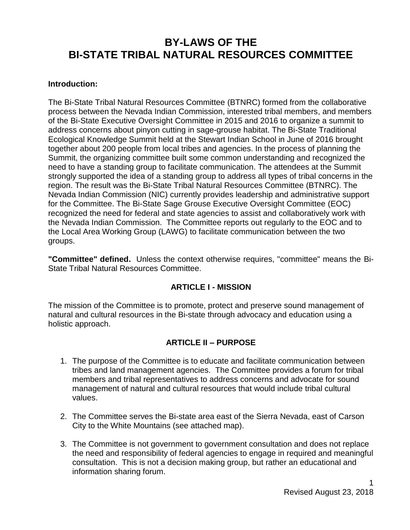# **BY-LAWS OF THE BI-STATE TRIBAL NATURAL RESOURCES COMMITTEE**

### **Introduction:**

The Bi-State Tribal Natural Resources Committee (BTNRC) formed from the collaborative process between the Nevada Indian Commission, interested tribal members, and members of the Bi-State Executive Oversight Committee in 2015 and 2016 to organize a summit to address concerns about pinyon cutting in sage-grouse habitat. The Bi-State Traditional Ecological Knowledge Summit held at the Stewart Indian School in June of 2016 brought together about 200 people from local tribes and agencies. In the process of planning the Summit, the organizing committee built some common understanding and recognized the need to have a standing group to facilitate communication. The attendees at the Summit strongly supported the idea of a standing group to address all types of tribal concerns in the region. The result was the Bi-State Tribal Natural Resources Committee (BTNRC). The Nevada Indian Commission (NIC) currently provides leadership and administrative support for the Committee. The Bi-State Sage Grouse Executive Oversight Committee (EOC) recognized the need for federal and state agencies to assist and collaboratively work with the Nevada Indian Commission. The Committee reports out regularly to the EOC and to the Local Area Working Group (LAWG) to facilitate communication between the two groups.

**"Committee" defined.** Unless the context otherwise requires, "committee" means the Bi-State Tribal Natural Resources Committee.

### **ARTICLE I - MISSION**

The mission of the Committee is to promote, protect and preserve sound management of natural and cultural resources in the Bi-state through advocacy and education using a holistic approach.

## **ARTICLE II – PURPOSE**

- 1. The purpose of the Committee is to educate and facilitate communication between tribes and land management agencies. The Committee provides a forum for tribal members and tribal representatives to address concerns and advocate for sound management of natural and cultural resources that would include tribal cultural values.
- 2. The Committee serves the Bi-state area east of the Sierra Nevada, east of Carson City to the White Mountains (see attached map).
- 3. The Committee is not government to government consultation and does not replace the need and responsibility of federal agencies to engage in required and meaningful consultation. This is not a decision making group, but rather an educational and information sharing forum.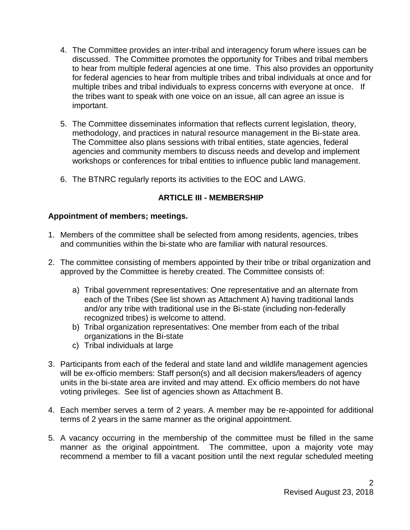- 4. The Committee provides an inter-tribal and interagency forum where issues can be discussed. The Committee promotes the opportunity for Tribes and tribal members to hear from multiple federal agencies at one time. This also provides an opportunity for federal agencies to hear from multiple tribes and tribal individuals at once and for multiple tribes and tribal individuals to express concerns with everyone at once. If the tribes want to speak with one voice on an issue, all can agree an issue is important.
- 5. The Committee disseminates information that reflects current legislation, theory, methodology, and practices in natural resource management in the Bi-state area. The Committee also plans sessions with tribal entities, state agencies, federal agencies and community members to discuss needs and develop and implement workshops or conferences for tribal entities to influence public land management.
- 6. The BTNRC regularly reports its activities to the EOC and LAWG.

## **ARTICLE III - MEMBERSHIP**

### **Appointment of members; meetings.**

- 1. Members of the committee shall be selected from among residents, agencies, tribes and communities within the bi-state who are familiar with natural resources.
- 2. The committee consisting of members appointed by their tribe or tribal organization and approved by the Committee is hereby created. The Committee consists of:
	- a) Tribal government representatives: One representative and an alternate from each of the Tribes (See list shown as Attachment A) having traditional lands and/or any tribe with traditional use in the Bi-state (including non-federally recognized tribes) is welcome to attend.
	- b) Tribal organization representatives: One member from each of the tribal organizations in the Bi-state
	- c) Tribal individuals at large
- 3. Participants from each of the federal and state land and wildlife management agencies will be ex-officio members: Staff person(s) and all decision makers/leaders of agency units in the bi-state area are invited and may attend. Ex officio members do not have voting privileges. See list of agencies shown as Attachment B.
- 4. Each member serves a term of 2 years. A member may be re-appointed for additional terms of 2 years in the same manner as the original appointment.
- 5. A vacancy occurring in the membership of the committee must be filled in the same manner as the original appointment. The committee, upon a majority vote may recommend a member to fill a vacant position until the next regular scheduled meeting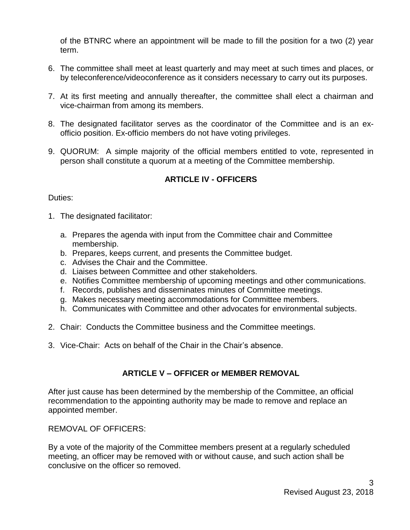of the BTNRC where an appointment will be made to fill the position for a two (2) year term.

- 6. The committee shall meet at least quarterly and may meet at such times and places, or by teleconference/videoconference as it considers necessary to carry out its purposes.
- 7. At its first meeting and annually thereafter, the committee shall elect a chairman and vice-chairman from among its members.
- 8. The designated facilitator serves as the coordinator of the Committee and is an exofficio position. Ex-officio members do not have voting privileges.
- 9. QUORUM: A simple majority of the official members entitled to vote, represented in person shall constitute a quorum at a meeting of the Committee membership.

# **ARTICLE IV - OFFICERS**

### Duties:

- 1. The designated facilitator:
	- a. Prepares the agenda with input from the Committee chair and Committee membership.
	- b. Prepares, keeps current, and presents the Committee budget.
	- c. Advises the Chair and the Committee.
	- d. Liaises between Committee and other stakeholders.
	- e. Notifies Committee membership of upcoming meetings and other communications.
	- f. Records, publishes and disseminates minutes of Committee meetings.
	- g. Makes necessary meeting accommodations for Committee members.
	- h. Communicates with Committee and other advocates for environmental subjects.
- 2. Chair: Conducts the Committee business and the Committee meetings.
- 3. Vice-Chair: Acts on behalf of the Chair in the Chair's absence.

# **ARTICLE V – OFFICER or MEMBER REMOVAL**

After just cause has been determined by the membership of the Committee, an official recommendation to the appointing authority may be made to remove and replace an appointed member.

REMOVAL OF OFFICERS:

By a vote of the majority of the Committee members present at a regularly scheduled meeting, an officer may be removed with or without cause, and such action shall be conclusive on the officer so removed.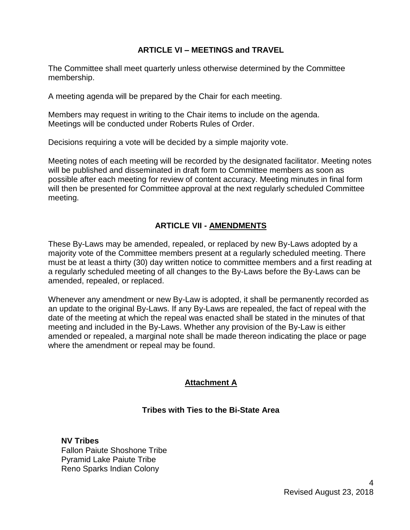## **ARTICLE VI – MEETINGS and TRAVEL**

The Committee shall meet quarterly unless otherwise determined by the Committee membership.

A meeting agenda will be prepared by the Chair for each meeting.

Members may request in writing to the Chair items to include on the agenda. Meetings will be conducted under Roberts Rules of Order.

Decisions requiring a vote will be decided by a simple majority vote.

Meeting notes of each meeting will be recorded by the designated facilitator. Meeting notes will be published and disseminated in draft form to Committee members as soon as possible after each meeting for review of content accuracy. Meeting minutes in final form will then be presented for Committee approval at the next regularly scheduled Committee meeting.

## **ARTICLE VII - AMENDMENTS**

These By-Laws may be amended, repealed, or replaced by new By-Laws adopted by a majority vote of the Committee members present at a regularly scheduled meeting. There must be at least a thirty (30) day written notice to committee members and a first reading at a regularly scheduled meeting of all changes to the By-Laws before the By-Laws can be amended, repealed, or replaced.

Whenever any amendment or new By-Law is adopted, it shall be permanently recorded as an update to the original By-Laws. If any By-Laws are repealed, the fact of repeal with the date of the meeting at which the repeal was enacted shall be stated in the minutes of that meeting and included in the By-Laws. Whether any provision of the By-Law is either amended or repealed, a marginal note shall be made thereon indicating the place or page where the amendment or repeal may be found.

## **Attachment A**

## **Tribes with Ties to the Bi-State Area**

**NV Tribes** Fallon Paiute Shoshone Tribe Pyramid Lake Paiute Tribe Reno Sparks Indian Colony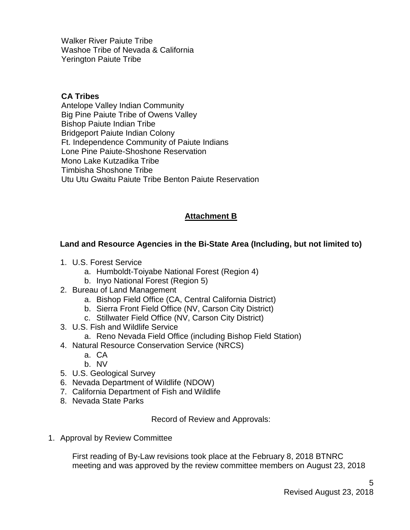Walker River Paiute Tribe Washoe Tribe of Nevada & California Yerington Paiute Tribe

### **CA Tribes**

Antelope Valley Indian Community Big Pine Paiute Tribe of Owens Valley Bishop Paiute Indian Tribe Bridgeport Paiute Indian Colony Ft. Independence Community of Paiute Indians Lone Pine Paiute-Shoshone Reservation Mono Lake Kutzadika Tribe Timbisha Shoshone Tribe Utu Utu Gwaitu Paiute Tribe Benton Paiute Reservation

## **Attachment B**

### **Land and Resource Agencies in the Bi-State Area (Including, but not limited to)**

- 1. U.S. Forest Service
	- a. Humboldt-Toiyabe National Forest (Region 4)
	- b. Inyo National Forest (Region 5)
- 2. Bureau of Land Management
	- a. Bishop Field Office (CA, Central California District)
	- b. Sierra Front Field Office (NV, Carson City District)
	- c. Stillwater Field Office (NV, Carson City District)
- 3. U.S. Fish and Wildlife Service
	- a. Reno Nevada Field Office (including Bishop Field Station)
- 4. Natural Resource Conservation Service (NRCS)
	- a. CA
	- b. NV
- 5. U.S. Geological Survey
- 6. Nevada Department of Wildlife (NDOW)
- 7. California Department of Fish and Wildlife
- 8. Nevada State Parks

Record of Review and Approvals:

1. Approval by Review Committee

First reading of By-Law revisions took place at the February 8, 2018 BTNRC meeting and was approved by the review committee members on August 23, 2018